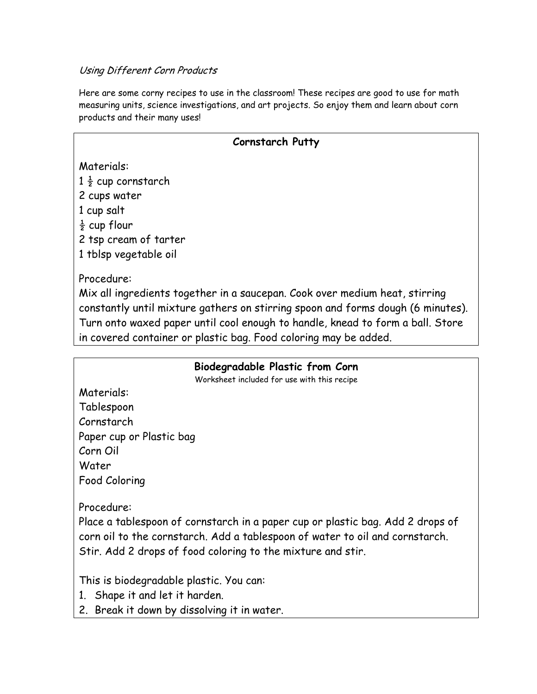### Using Different Corn Products

Here are some corny recipes to use in the classroom! These recipes are good to use for math measuring units, science investigations, and art projects. So enjoy them and learn about corn products and their many uses!

# **Cornstarch Putty**

Materials:  $1\frac{1}{2}$  cup cornstarch 2 cups water

1 cup salt

 $\frac{1}{2}$  cup flour

2 tsp cream of tarter

1 tblsp vegetable oil

Procedure:

Mix all ingredients together in a saucepan. Cook over medium heat, stirring constantly until mixture gathers on stirring spoon and forms dough (6 minutes). Turn onto waxed paper until cool enough to handle, knead to form a ball. Store in covered container or plastic bag. Food coloring may be added.

# **Biodegradable Plastic from Corn**

Worksheet included for use with this recipe

Materials: Tablespoon Cornstarch Paper cup or Plastic bag Corn Oil Water Food Coloring

Procedure:

Place a tablespoon of cornstarch in a paper cup or plastic bag. Add 2 drops of corn oil to the cornstarch. Add a tablespoon of water to oil and cornstarch. Stir. Add 2 drops of food coloring to the mixture and stir.

This is biodegradable plastic. You can:

- 1. Shape it and let it harden.
- 2. Break it down by dissolving it in water.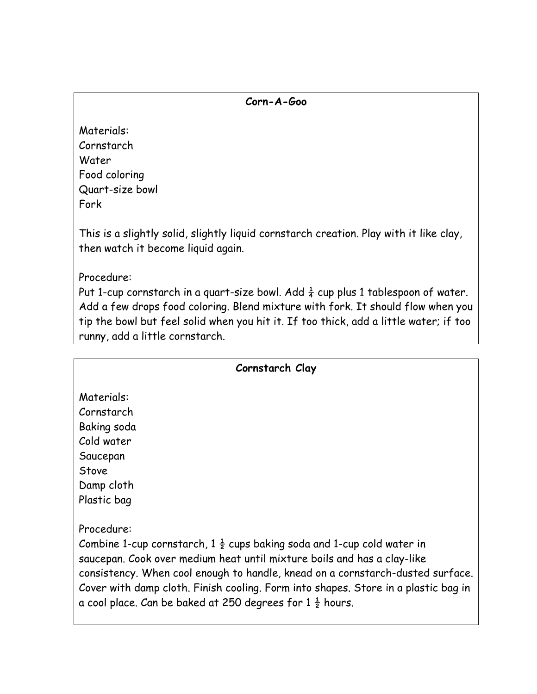#### **Corn-A-Goo**

Materials: Cornstarch Water Food coloring Quart-size bowl Fork

This is a slightly solid, slightly liquid cornstarch creation. Play with it like clay, then watch it become liquid again.

Procedure:

Put 1-cup cornstarch in a quart-size bowl. Add  $\frac{1}{4}$  cup plus 1 tablespoon of water. Add a few drops food coloring. Blend mixture with fork. It should flow when you tip the bowl but feel solid when you hit it. If too thick, add a little water; if too runny, add a little cornstarch.

| Cornstarch Clay                                                                                                                                                                                                                                                                                                                                                                                                           |
|---------------------------------------------------------------------------------------------------------------------------------------------------------------------------------------------------------------------------------------------------------------------------------------------------------------------------------------------------------------------------------------------------------------------------|
| Materials:<br>Cornstarch<br>Baking soda<br>Cold water                                                                                                                                                                                                                                                                                                                                                                     |
| Saucepan<br>Stove<br>Damp cloth<br>Plastic bag                                                                                                                                                                                                                                                                                                                                                                            |
| Procedure:<br>Combine 1-cup cornstarch, $1\frac{1}{2}$ cups baking soda and 1-cup cold water in<br>saucepan. Cook over medium heat until mixture boils and has a clay-like<br>consistency. When cool enough to handle, knead on a cornstarch-dusted surface.<br>Cover with damp cloth. Finish cooling. Form into shapes. Store in a plastic bag in<br>a cool place. Can be baked at 250 degrees for $1\frac{1}{2}$ hours. |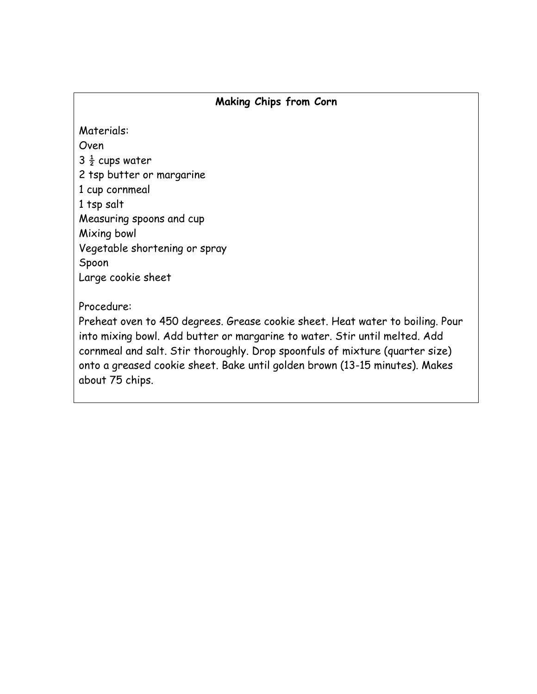# **Making Chips from Corn**

Materials: Oven  $3\frac{1}{2}$  cups water 2 tsp butter or margarine 1 cup cornmeal 1 tsp salt Measuring spoons and cup Mixing bowl Vegetable shortening or spray Spoon Large cookie sheet

### Procedure:

Preheat oven to 450 degrees. Grease cookie sheet. Heat water to boiling. Pour into mixing bowl. Add butter or margarine to water. Stir until melted. Add cornmeal and salt. Stir thoroughly. Drop spoonfuls of mixture (quarter size) onto a greased cookie sheet. Bake until golden brown (13-15 minutes). Makes about 75 chips.